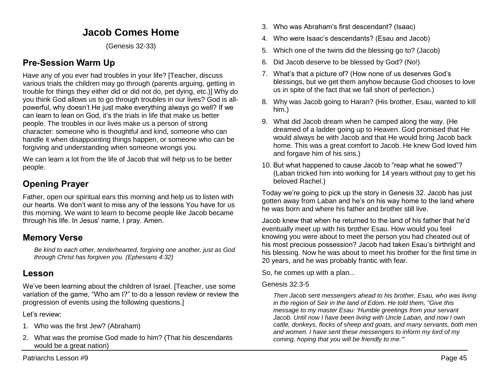# **Jacob Comes Home**

(Genesis 32-33)

# **Pre-Session Warm Up**

Have any of you ever had troubles in your life? [Teacher, discuss various trials the children may go through (parents arguing, getting in trouble for things they either did or did not do, pet dying, etc.)] Why do you think God allows us to go through troubles in our lives? God is allpowerful, why doesn't He just make everything always go well? If we can learn to lean on God, it's the trials in life that make us better people. The troubles in our lives make us a person of strong character: someone who is thoughtful and kind, someone who can handle it when disappointing things happen, or someone who can be forgiving and understanding when someone wrongs you.

We can learn a lot from the life of Jacob that will help us to be better people.

# **Opening Prayer**

Father, open our spiritual ears this morning and help us to listen with our hearts. We don't want to miss any of the lessons You have for us this morning. We want to learn to become people like Jacob became through his life. In Jesus' name, I pray. Amen.

### **Memory Verse**

*Be kind to each other, tenderhearted, forgiving one another, just as God through Christ has forgiven you. (Ephesians 4:32)*

## **Lesson**

We've been learning about the children of Israel. [Teacher, use some variation of the game, "Who am I?" to do a lesson review or review the progression of events using the following questions.]

Let's review:

- 1. Who was the first Jew? (Abraham)
- 2. What was the promise God made to him? (That his descendants would be a great nation)
- 3. Who was Abraham's first descendant? (Isaac)
- 4. Who were Isaac's descendants? (Esau and Jacob)
- 5. Which one of the twins did the blessing go to? (Jacob)
- 6. Did Jacob deserve to be blessed by God? (No!)
- 7. What's that a picture of? (How none of us deserves God's blessings, but we get them anyhow because God chooses to love us in spite of the fact that we fall short of perfection.)
- 8. Why was Jacob going to Haran? (His brother, Esau, wanted to kill him.)
- 9. What did Jacob dream when he camped along the way. (He dreamed of a ladder going up to Heaven. God promised that He would always be with Jacob and that He would bring Jacob back home. This was a great comfort to Jacob. He knew God loved him and forgave him of his sins.)
- 10. But what happened to cause Jacob to "reap what he sowed"? (Laban tricked him into working for 14 years without pay to get his beloved Rachel.)

Today we're going to pick up the story in Genesis 32. Jacob has just gotten away from Laban and he's on his way home to the land where he was born and where his father and brother still live.

Jacob knew that when he returned to the land of his father that he'd eventually meet up with his brother Esau. How would you feel knowing you were about to meet the person you had cheated out of his most precious possession? Jacob had taken Esau's birthright and his blessing. Now he was about to meet his brother for the first time in 20 years, and he was probably frantic with fear.

So, he comes up with a plan...

### Genesis 32:3-5

*Then Jacob sent messengers ahead to his brother, Esau, who was living in the region of Seir in the land of Edom. He told them, "Give this message to my master Esau: 'Humble greetings from your servant Jacob. Until now I have been living with Uncle Laban, and now I own cattle, donkeys, flocks of sheep and goats, and many servants, both men and women. I have sent these messengers to inform my lord of my coming, hoping that you will be friendly to me.'"*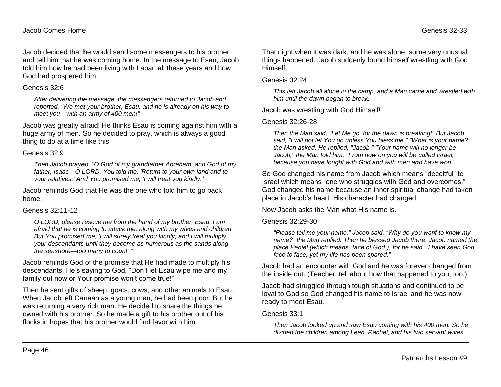Jacob decided that he would send some messengers to his brother and tell him that he was coming home. In the message to Esau, Jacob told him how he had been living with Laban all these years and how God had prospered him.

#### Genesis 32:6

*After delivering the message, the messengers returned to Jacob and reported, "We met your brother, Esau, and he is already on his way to meet you—with an army of 400 men!"*

Jacob was greatly afraid! He thinks Esau is coming against him with a huge army of men. So he decided to pray, which is always a good thing to do at a time like this.

#### Genesis 32:9

*Then Jacob prayed, "O God of my grandfather Abraham, and God of my father, Isaac—O LORD, You told me, 'Return to your own land and to your relatives.' And You promised me, 'I will treat you kindly.'*

Jacob reminds God that He was the one who told him to go back home.

### Genesis 32:11-12

*O LORD, please rescue me from the hand of my brother, Esau. I am afraid that he is coming to attack me, along with my wives and children. But You promised me, 'I will surely treat you kindly, and I will multiply your descendants until they become as numerous as the sands along the seashore—too many to count.'"* 

Jacob reminds God of the promise that He had made to multiply his descendants. He's saying to God, "Don't let Esau wipe me and my family out now or Your promise won't come true!"

Then he sent gifts of sheep, goats, cows, and other animals to Esau. When Jacob left Canaan as a young man, he had been poor. But he was returning a very rich man. He decided to share the things he owned with his brother. So he made a gift to his brother out of his flocks in hopes that his brother would find favor with him.

That night when it was dark, and he was alone, some very unusual things happened. Jacob suddenly found himself wrestling with God Himself.

#### Genesis 32:24

*This left Jacob all alone in the camp, and a Man came and wrestled with him until the dawn began to break.*

Jacob was wrestling with God Himself!

#### Genesis 32:26-28

*Then the Man said, "Let Me go, for the dawn is breaking!" But Jacob said, "I will not let You go unless You bless me." "What is your name?" the Man asked. He replied, "Jacob." "Your name will no longer be Jacob," the Man told him. "From now on you will be called Israel, because you have fought with God and with men and have won."* 

So God changed his name from Jacob which means "deceitful" to Israel which means "one who struggles with God and overcomes." God changed his name because an inner spiritual change had taken place in Jacob's heart. His character had changed.

Now Jacob asks the Man what His name is.

#### Genesis 32:29-30

*"Please tell me your name," Jacob said. "Why do you want to know my name?" the Man replied. Then he blessed Jacob there. Jacob named the place Peniel (which means "face of God"), for he said, "I have seen God face to face, yet my life has been spared."* 

Jacob had an encounter with God and he was forever changed from the inside out. (Teacher, tell about how that happened to you, too.)

Jacob had struggled through tough situations and continued to be loyal to God so God changed his name to Israel and he was now ready to meet Esau.

#### Genesis 33:1

*Then Jacob looked up and saw Esau coming with his 400 men. So he divided the children among Leah, Rachel, and his two servant wives.*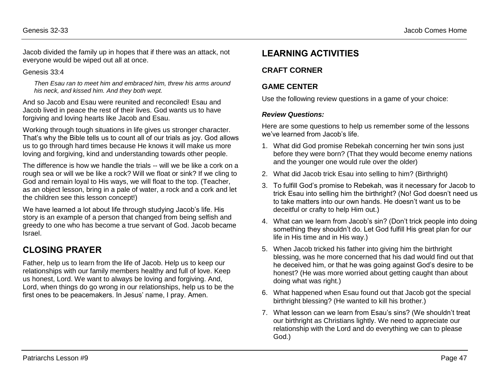Jacob divided the family up in hopes that if there was an attack, not everyone would be wiped out all at once.

#### Genesis 33:4

*Then Esau ran to meet him and embraced him, threw his arms around his neck, and kissed him. And they both wept.*

And so Jacob and Esau were reunited and reconciled! Esau and Jacob lived in peace the rest of their lives. God wants us to have forgiving and loving hearts like Jacob and Esau.

Working through tough situations in life gives us stronger character. That's why the Bible tells us to count all of our trials as joy. God allows us to go through hard times because He knows it will make us more loving and forgiving, kind and understanding towards other people.

The difference is how we handle the trials -- will we be like a cork on a rough sea or will we be like a rock? Will we float or sink? If we cling to God and remain loyal to His ways, we will float to the top. (Teacher, as an object lesson, bring in a pale of water, a rock and a cork and let the children see this lesson concept!)

We have learned a lot about life through studying Jacob's life. His story is an example of a person that changed from being selfish and greedy to one who has become a true servant of God. Jacob became Israel.

## **CLOSING PRAYER**

Father, help us to learn from the life of Jacob. Help us to keep our relationships with our family members healthy and full of love. Keep us honest, Lord. We want to always be loving and forgiving. And, Lord, when things do go wrong in our relationships, help us to be the first ones to be peacemakers. In Jesus' name, I pray. Amen.

## **LEARNING ACTIVITIES**

### **CRAFT CORNER**

### **GAME CENTER**

Use the following review questions in a game of your choice:

#### *Review Questions:*

Here are some questions to help us remember some of the lessons we've learned from Jacob's life.

- 1. What did God promise Rebekah concerning her twin sons just before they were born? (That they would become enemy nations and the younger one would rule over the older)
- 2. What did Jacob trick Esau into selling to him? (Birthright)
- 3. To fulfill God's promise to Rebekah, was it necessary for Jacob to trick Esau into selling him the birthright? (No! God doesn't need us to take matters into our own hands. He doesn't want us to be deceitful or crafty to help Him out.)
- 4. What can we learn from Jacob's sin? (Don't trick people into doing something they shouldn't do. Let God fulfill His great plan for our life in His time and in His way.)
- 5. When Jacob tricked his father into giving him the birthright blessing, was he more concerned that his dad would find out that he deceived him, or that he was going against God's desire to be honest? (He was more worried about getting caught than about doing what was right.)
- 6. What happened when Esau found out that Jacob got the special birthright blessing? (He wanted to kill his brother.)
- 7. What lesson can we learn from Esau's sins? (We shouldn't treat our birthright as Christians lightly. We need to appreciate our relationship with the Lord and do everything we can to please God.)